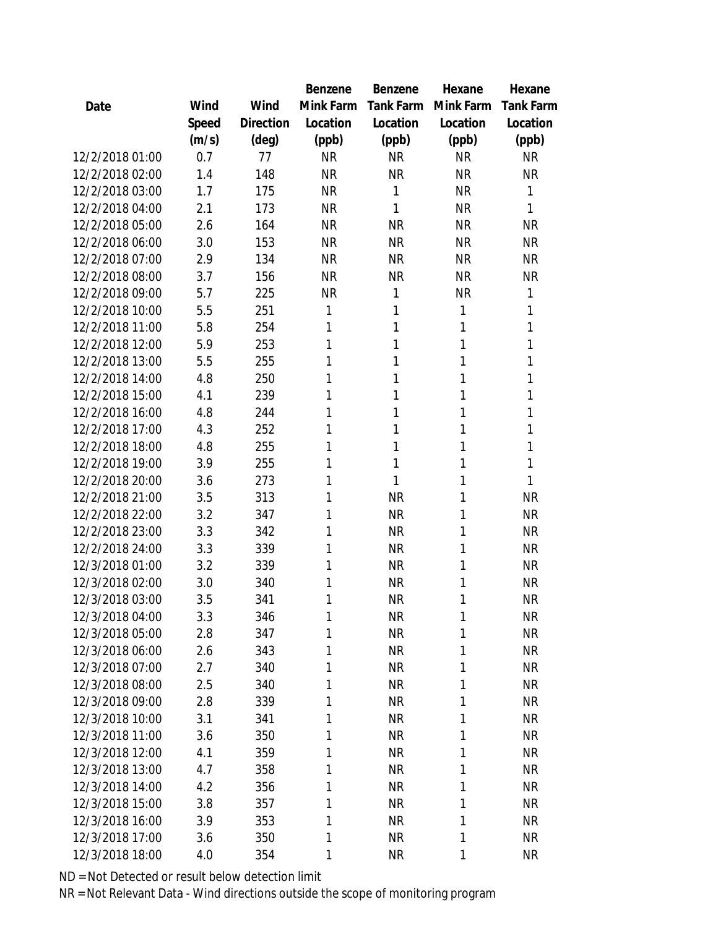|                 |       |           | Benzene   | Benzene   | Hexane       | Hexane           |
|-----------------|-------|-----------|-----------|-----------|--------------|------------------|
| Date            | Wind  | Wind      | Mink Farm | Tank Farm | Mink Farm    | <b>Tank Farm</b> |
|                 | Speed | Direction | Location  | Location  | Location     | Location         |
|                 | (m/s) | (deg)     | (ppb)     | (ppb)     | (ppb)        | (ppb)            |
| 12/2/2018 01:00 | 0.7   | 77        | <b>NR</b> | <b>NR</b> | <b>NR</b>    | <b>NR</b>        |
| 12/2/2018 02:00 | 1.4   | 148       | <b>NR</b> | <b>NR</b> | <b>NR</b>    | <b>NR</b>        |
| 12/2/2018 03:00 | 1.7   | 175       | <b>NR</b> | 1         | <b>NR</b>    | 1                |
| 12/2/2018 04:00 | 2.1   | 173       | <b>NR</b> | 1         | <b>NR</b>    | 1                |
| 12/2/2018 05:00 | 2.6   | 164       | <b>NR</b> | <b>NR</b> | <b>NR</b>    | <b>NR</b>        |
| 12/2/2018 06:00 | 3.0   | 153       | <b>NR</b> | <b>NR</b> | <b>NR</b>    | <b>NR</b>        |
| 12/2/2018 07:00 | 2.9   | 134       | <b>NR</b> | <b>NR</b> | <b>NR</b>    | <b>NR</b>        |
| 12/2/2018 08:00 | 3.7   | 156       | <b>NR</b> | <b>NR</b> | <b>NR</b>    | <b>NR</b>        |
| 12/2/2018 09:00 | 5.7   | 225       | <b>NR</b> | 1         | <b>NR</b>    | 1                |
| 12/2/2018 10:00 | 5.5   | 251       | 1         | 1         | 1            | 1                |
| 12/2/2018 11:00 | 5.8   | 254       | 1         | 1         | 1            | 1                |
| 12/2/2018 12:00 | 5.9   | 253       | 1         | 1         | 1            | 1                |
| 12/2/2018 13:00 | 5.5   | 255       | 1         | 1         | 1            | 1                |
| 12/2/2018 14:00 | 4.8   | 250       | 1         | 1         | 1            | 1                |
| 12/2/2018 15:00 | 4.1   | 239       | 1         | 1         | 1            | 1                |
| 12/2/2018 16:00 | 4.8   | 244       | 1         | 1         | 1            | 1                |
| 12/2/2018 17:00 | 4.3   | 252       | 1         | 1         | 1            | 1                |
| 12/2/2018 18:00 | 4.8   | 255       | 1         | 1         | 1            | 1                |
| 12/2/2018 19:00 | 3.9   | 255       | 1         | 1         | 1            | 1                |
| 12/2/2018 20:00 | 3.6   | 273       | 1         | 1         | 1            | 1                |
| 12/2/2018 21:00 | 3.5   | 313       | 1         | <b>NR</b> | 1            | <b>NR</b>        |
| 12/2/2018 22:00 | 3.2   | 347       | 1         | <b>NR</b> | 1            | <b>NR</b>        |
| 12/2/2018 23:00 | 3.3   | 342       | 1         | <b>NR</b> | 1            | <b>NR</b>        |
| 12/2/2018 24:00 | 3.3   | 339       | 1         | <b>NR</b> | 1            | <b>NR</b>        |
| 12/3/2018 01:00 | 3.2   | 339       | 1         | <b>NR</b> | 1            | <b>NR</b>        |
| 12/3/2018 02:00 | 3.0   | 340       | 1         | <b>NR</b> | 1            | <b>NR</b>        |
| 12/3/2018 03:00 | 3.5   | 341       | 1         | <b>NR</b> | 1            | <b>NR</b>        |
| 12/3/2018 04:00 | 3.3   | 346       | 1         | <b>NR</b> | 1            | <b>NR</b>        |
| 12/3/2018 05:00 | 2.8   | 347       | 1         | <b>NR</b> | 1            | <b>NR</b>        |
| 12/3/2018 06:00 | 2.6   | 343       | 1         | <b>NR</b> | 1            | <b>NR</b>        |
| 12/3/2018 07:00 | 2.7   | 340       | 1         | <b>NR</b> | 1            | <b>NR</b>        |
| 12/3/2018 08:00 | 2.5   | 340       | 1         | <b>NR</b> | 1            | <b>NR</b>        |
| 12/3/2018 09:00 | 2.8   | 339       | 1         | <b>NR</b> | 1            | <b>NR</b>        |
| 12/3/2018 10:00 | 3.1   | 341       | 1         | <b>NR</b> | 1            | <b>NR</b>        |
| 12/3/2018 11:00 | 3.6   | 350       | 1         | <b>NR</b> | 1            | <b>NR</b>        |
| 12/3/2018 12:00 | 4.1   | 359       | 1         | <b>NR</b> | 1            | <b>NR</b>        |
| 12/3/2018 13:00 | 4.7   | 358       | 1         | <b>NR</b> | $\mathbf{1}$ | <b>NR</b>        |
| 12/3/2018 14:00 | 4.2   | 356       | 1         | <b>NR</b> | 1            | <b>NR</b>        |
| 12/3/2018 15:00 | 3.8   | 357       | 1         | <b>NR</b> | 1            | <b>NR</b>        |
| 12/3/2018 16:00 | 3.9   | 353       | 1         | <b>NR</b> | 1            | <b>NR</b>        |
| 12/3/2018 17:00 | 3.6   | 350       | 1         | <b>NR</b> | $\mathbf{1}$ | <b>NR</b>        |
| 12/3/2018 18:00 | 4.0   | 354       | 1         | <b>NR</b> | 1            | <b>NR</b>        |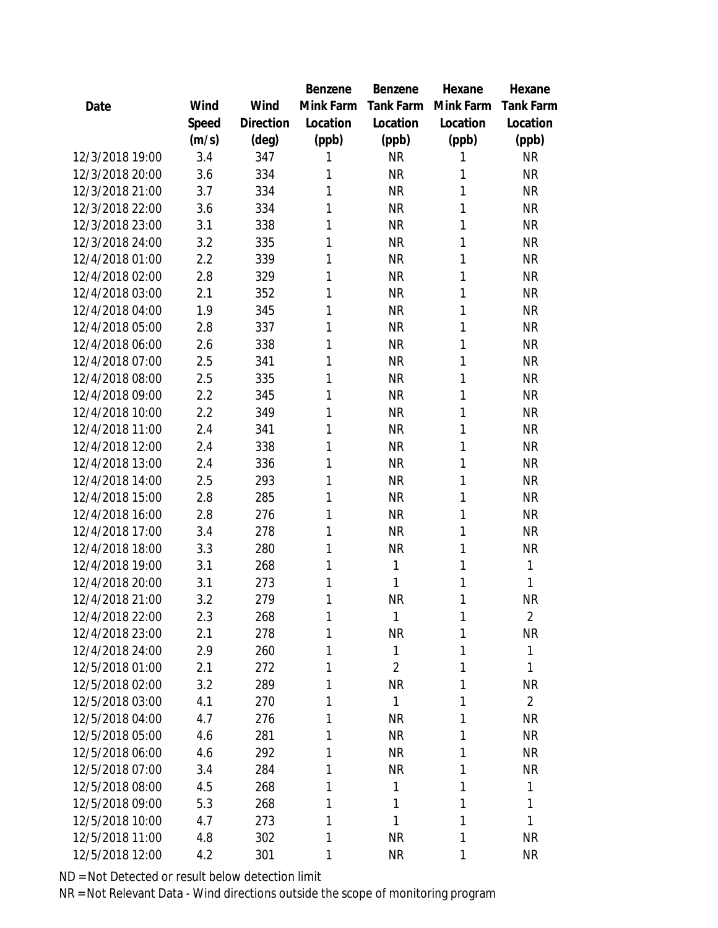|                 |       |           | Benzene   | Benzene        | Hexane    | Hexane         |
|-----------------|-------|-----------|-----------|----------------|-----------|----------------|
| Date            | Wind  | Wind      | Mink Farm | Tank Farm      | Mink Farm | Tank Farm      |
|                 | Speed | Direction | Location  | Location       | Location  | Location       |
|                 | (m/s) | (deg)     | (ppb)     | (ppb)          | (ppb)     | (ppb)          |
| 12/3/2018 19:00 | 3.4   | 347       | 1         | <b>NR</b>      | 1         | <b>NR</b>      |
| 12/3/2018 20:00 | 3.6   | 334       | 1         | <b>NR</b>      | 1         | <b>NR</b>      |
| 12/3/2018 21:00 | 3.7   | 334       | 1         | <b>NR</b>      | 1         | <b>NR</b>      |
| 12/3/2018 22:00 | 3.6   | 334       | 1         | <b>NR</b>      | 1         | <b>NR</b>      |
| 12/3/2018 23:00 | 3.1   | 338       | 1         | <b>NR</b>      | 1         | <b>NR</b>      |
| 12/3/2018 24:00 | 3.2   | 335       | 1         | <b>NR</b>      | 1         | <b>NR</b>      |
| 12/4/2018 01:00 | 2.2   | 339       | 1         | <b>NR</b>      | 1         | <b>NR</b>      |
| 12/4/2018 02:00 | 2.8   | 329       | 1         | <b>NR</b>      | 1         | <b>NR</b>      |
| 12/4/2018 03:00 | 2.1   | 352       | 1         | <b>NR</b>      | 1         | <b>NR</b>      |
| 12/4/2018 04:00 | 1.9   | 345       | 1         | <b>NR</b>      | 1         | <b>NR</b>      |
| 12/4/2018 05:00 | 2.8   | 337       | 1         | <b>NR</b>      | 1         | <b>NR</b>      |
| 12/4/2018 06:00 | 2.6   | 338       | 1         | <b>NR</b>      | 1         | <b>NR</b>      |
| 12/4/2018 07:00 | 2.5   | 341       | 1         | <b>NR</b>      | 1         | <b>NR</b>      |
| 12/4/2018 08:00 | 2.5   | 335       | 1         | <b>NR</b>      | 1         | <b>NR</b>      |
| 12/4/2018 09:00 | 2.2   | 345       | 1         | <b>NR</b>      | 1         | <b>NR</b>      |
| 12/4/2018 10:00 | 2.2   | 349       | 1         | <b>NR</b>      | 1         | <b>NR</b>      |
| 12/4/2018 11:00 | 2.4   | 341       | 1         | <b>NR</b>      | 1         | <b>NR</b>      |
| 12/4/2018 12:00 | 2.4   | 338       | 1         | <b>NR</b>      | 1         | <b>NR</b>      |
| 12/4/2018 13:00 | 2.4   | 336       | 1         | <b>NR</b>      | 1         | <b>NR</b>      |
| 12/4/2018 14:00 | 2.5   | 293       | 1         | <b>NR</b>      | 1         | ΝR             |
| 12/4/2018 15:00 | 2.8   | 285       | 1         | <b>NR</b>      | 1         | <b>NR</b>      |
| 12/4/2018 16:00 | 2.8   | 276       | 1         | <b>NR</b>      | 1         | <b>NR</b>      |
| 12/4/2018 17:00 | 3.4   | 278       | 1         | <b>NR</b>      | 1         | <b>NR</b>      |
| 12/4/2018 18:00 | 3.3   | 280       | 1         | <b>NR</b>      | 1         | ΝR             |
| 12/4/2018 19:00 | 3.1   | 268       | 1         | 1              | 1         | 1              |
| 12/4/2018 20:00 | 3.1   | 273       | 1         | 1              | 1         | 1              |
| 12/4/2018 21:00 | 3.2   | 279       | 1         | <b>NR</b>      | 1         | <b>NR</b>      |
| 12/4/2018 22:00 | 2.3   | 268       | 1         | 1              | 1         | $\overline{2}$ |
| 12/4/2018 23:00 | 2.1   | 278       | 1         | <b>NR</b>      | 1         | <b>NR</b>      |
| 12/4/2018 24:00 | 2.9   | 260       | 1         | 1              | 1         | 1              |
| 12/5/2018 01:00 | 2.1   | 272       | 1         | $\overline{2}$ | 1         | 1              |
| 12/5/2018 02:00 | 3.2   | 289       | 1         | <b>NR</b>      | 1         | <b>NR</b>      |
| 12/5/2018 03:00 | 4.1   | 270       | 1         | $\mathbf{1}$   | 1         | $\overline{2}$ |
| 12/5/2018 04:00 | 4.7   | 276       | 1         | <b>NR</b>      | 1         | <b>NR</b>      |
| 12/5/2018 05:00 | 4.6   | 281       | 1         | <b>NR</b>      | 1         | <b>NR</b>      |
| 12/5/2018 06:00 | 4.6   | 292       | 1         | <b>NR</b>      | 1         | <b>NR</b>      |
| 12/5/2018 07:00 | 3.4   | 284       | 1         | <b>NR</b>      | 1         | <b>NR</b>      |
| 12/5/2018 08:00 | 4.5   | 268       | 1         | 1              | 1         | 1              |
| 12/5/2018 09:00 | 5.3   | 268       | 1         | 1              | 1         | 1              |
| 12/5/2018 10:00 | 4.7   | 273       | 1         | 1              | 1         | 1              |
| 12/5/2018 11:00 | 4.8   | 302       | 1         | <b>NR</b>      | 1         | <b>NR</b>      |
| 12/5/2018 12:00 | 4.2   | 301       | 1         | <b>NR</b>      | 1         | <b>NR</b>      |
|                 |       |           |           |                |           |                |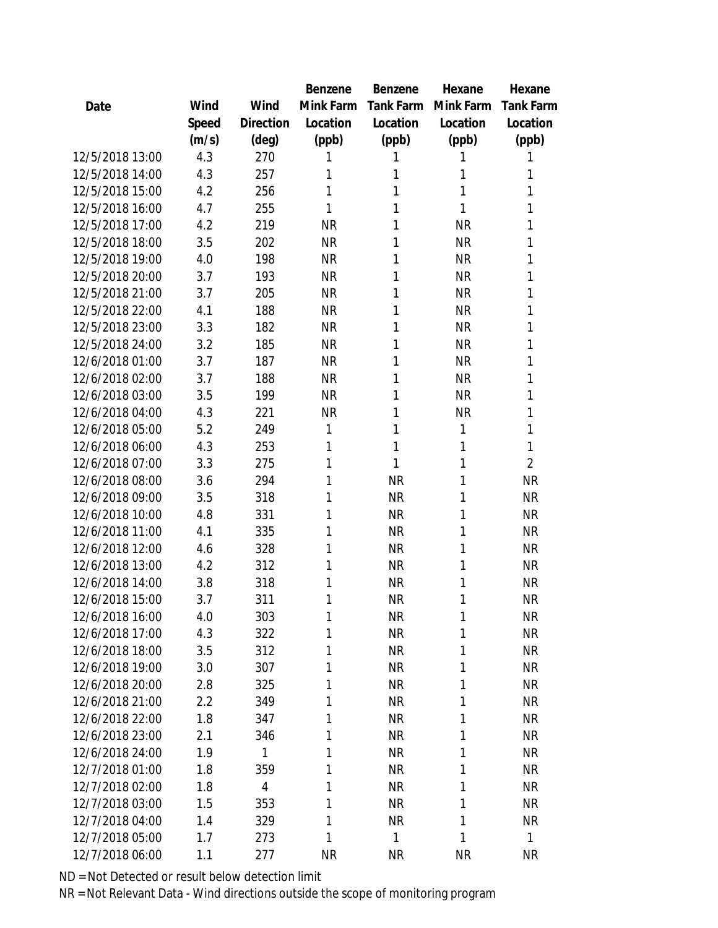|                 |       |                | Benzene   | Benzene   | Hexane    | Hexane         |
|-----------------|-------|----------------|-----------|-----------|-----------|----------------|
| Date            | Wind  | Wind           | Mink Farm | Tank Farm | Mink Farm | Tank Farm      |
|                 | Speed | Direction      | Location  | Location  | Location  | Location       |
|                 | (m/s) | (deg)          | (ppb)     | (ppb)     | (ppb)     | (ppb)          |
| 12/5/2018 13:00 | 4.3   | 270            | 1         | 1         |           | 1              |
| 12/5/2018 14:00 | 4.3   | 257            | 1         | 1         | 1         | 1              |
| 12/5/2018 15:00 | 4.2   | 256            | 1         | 1         | 1         | 1              |
| 12/5/2018 16:00 | 4.7   | 255            | 1         | 1         | 1         | 1              |
| 12/5/2018 17:00 | 4.2   | 219            | <b>NR</b> | 1         | <b>NR</b> | 1              |
| 12/5/2018 18:00 | 3.5   | 202            | <b>NR</b> | 1         | <b>NR</b> | 1              |
| 12/5/2018 19:00 | 4.0   | 198            | <b>NR</b> | 1         | <b>NR</b> | 1              |
| 12/5/2018 20:00 | 3.7   | 193            | <b>NR</b> | 1         | <b>NR</b> | 1              |
| 12/5/2018 21:00 | 3.7   | 205            | <b>NR</b> | 1         | <b>NR</b> | 1              |
| 12/5/2018 22:00 | 4.1   | 188            | <b>NR</b> | 1         | <b>NR</b> | 1              |
| 12/5/2018 23:00 | 3.3   | 182            | <b>NR</b> | 1         | <b>NR</b> | 1              |
| 12/5/2018 24:00 | 3.2   | 185            | <b>NR</b> | 1         | <b>NR</b> | 1              |
| 12/6/2018 01:00 | 3.7   | 187            | <b>NR</b> | 1         | <b>NR</b> | 1              |
| 12/6/2018 02:00 | 3.7   | 188            | <b>NR</b> | 1         | <b>NR</b> | 1              |
| 12/6/2018 03:00 | 3.5   | 199            | <b>NR</b> | 1         | <b>NR</b> | 1              |
| 12/6/2018 04:00 | 4.3   | 221            | <b>NR</b> | 1         | <b>NR</b> | 1              |
| 12/6/2018 05:00 | 5.2   | 249            | 1         | 1         | 1         | 1              |
| 12/6/2018 06:00 | 4.3   | 253            | 1         | 1         | 1         | 1              |
| 12/6/2018 07:00 | 3.3   | 275            | 1         | 1         | 1         | $\overline{2}$ |
| 12/6/2018 08:00 | 3.6   | 294            | 1         | <b>NR</b> | 1         | <b>NR</b>      |
| 12/6/2018 09:00 | 3.5   | 318            | 1         | <b>NR</b> | 1         | <b>NR</b>      |
| 12/6/2018 10:00 | 4.8   | 331            | 1         | <b>NR</b> | 1         | <b>NR</b>      |
| 12/6/2018 11:00 | 4.1   | 335            | 1         | <b>NR</b> | 1         | <b>NR</b>      |
| 12/6/2018 12:00 | 4.6   | 328            | 1         | <b>NR</b> | 1         | <b>NR</b>      |
| 12/6/2018 13:00 | 4.2   | 312            | 1         | <b>NR</b> | 1         | <b>NR</b>      |
| 12/6/2018 14:00 | 3.8   | 318            | 1         | <b>NR</b> | 1         | <b>NR</b>      |
| 12/6/2018 15:00 | 3.7   | 311            | 1         | <b>NR</b> | 1         | <b>NR</b>      |
| 12/6/2018 16:00 | 4.0   | 303            | 1         | <b>NR</b> | 1         | <b>NR</b>      |
| 12/6/2018 17:00 | 4.3   | 322            | 1         | <b>NR</b> | 1         | <b>NR</b>      |
| 12/6/2018 18:00 | 3.5   | 312            | 1         | <b>NR</b> | 1         | <b>NR</b>      |
| 12/6/2018 19:00 | 3.0   | 307            | 1         | <b>NR</b> | 1         | <b>NR</b>      |
| 12/6/2018 20:00 | 2.8   | 325            | 1         | <b>NR</b> | 1         | <b>NR</b>      |
| 12/6/2018 21:00 | 2.2   | 349            | 1         | <b>NR</b> | 1         | <b>NR</b>      |
| 12/6/2018 22:00 | 1.8   | 347            | 1         | <b>NR</b> | 1         | <b>NR</b>      |
| 12/6/2018 23:00 | 2.1   | 346            | 1         | <b>NR</b> | 1         | <b>NR</b>      |
| 12/6/2018 24:00 | 1.9   | 1              | 1         | <b>NR</b> | 1         | <b>NR</b>      |
| 12/7/2018 01:00 | 1.8   | 359            | 1         | <b>NR</b> | 1         | <b>NR</b>      |
| 12/7/2018 02:00 | 1.8   | $\overline{4}$ | 1         | <b>NR</b> | 1         | <b>NR</b>      |
| 12/7/2018 03:00 | 1.5   | 353            | 1         | <b>NR</b> | 1         | <b>NR</b>      |
| 12/7/2018 04:00 | 1.4   | 329            | 1         | <b>NR</b> | 1         | <b>NR</b>      |
| 12/7/2018 05:00 | 1.7   | 273            | 1         | 1         | 1         | 1              |
| 12/7/2018 06:00 | 1.1   | 277            | <b>NR</b> | <b>NR</b> | <b>NR</b> | <b>NR</b>      |
|                 |       |                |           |           |           |                |